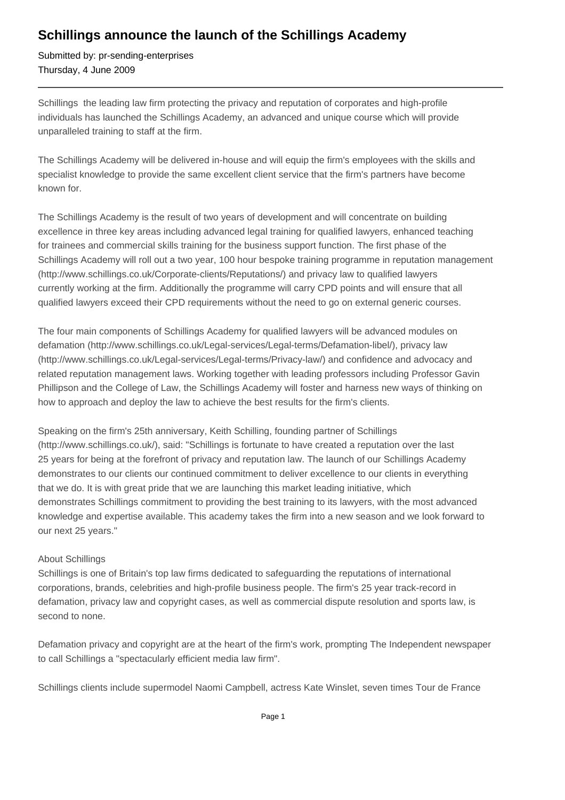## **Schillings announce the launch of the Schillings Academy**

Submitted by: pr-sending-enterprises Thursday, 4 June 2009

Schillings the leading law firm protecting the privacy and reputation of corporates and high-profile individuals has launched the Schillings Academy, an advanced and unique course which will provide unparalleled training to staff at the firm.

The Schillings Academy will be delivered in-house and will equip the firm's employees with the skills and specialist knowledge to provide the same excellent client service that the firm's partners have become known for.

The Schillings Academy is the result of two years of development and will concentrate on building excellence in three key areas including advanced legal training for qualified lawyers, enhanced teaching for trainees and commercial skills training for the business support function. The first phase of the Schillings Academy will roll out a two year, 100 hour bespoke training programme in reputation management (http://www.schillings.co.uk/Corporate-clients/Reputations/) and privacy law to qualified lawyers currently working at the firm. Additionally the programme will carry CPD points and will ensure that all qualified lawyers exceed their CPD requirements without the need to go on external generic courses.

The four main components of Schillings Academy for qualified lawyers will be advanced modules on defamation (http://www.schillings.co.uk/Legal-services/Legal-terms/Defamation-libel/), privacy law (http://www.schillings.co.uk/Legal-services/Legal-terms/Privacy-law/) and confidence and advocacy and related reputation management laws. Working together with leading professors including Professor Gavin Phillipson and the College of Law, the Schillings Academy will foster and harness new ways of thinking on how to approach and deploy the law to achieve the best results for the firm's clients.

Speaking on the firm's 25th anniversary, Keith Schilling, founding partner of Schillings (http://www.schillings.co.uk/), said: "Schillings is fortunate to have created a reputation over the last 25 years for being at the forefront of privacy and reputation law. The launch of our Schillings Academy demonstrates to our clients our continued commitment to deliver excellence to our clients in everything that we do. It is with great pride that we are launching this market leading initiative, which demonstrates Schillings commitment to providing the best training to its lawyers, with the most advanced knowledge and expertise available. This academy takes the firm into a new season and we look forward to our next 25 years."

## About Schillings

Schillings is one of Britain's top law firms dedicated to safeguarding the reputations of international corporations, brands, celebrities and high-profile business people. The firm's 25 year track-record in defamation, privacy law and copyright cases, as well as commercial dispute resolution and sports law, is second to none.

Defamation privacy and copyright are at the heart of the firm's work, prompting The Independent newspaper to call Schillings a "spectacularly efficient media law firm".

Schillings clients include supermodel Naomi Campbell, actress Kate Winslet, seven times Tour de France